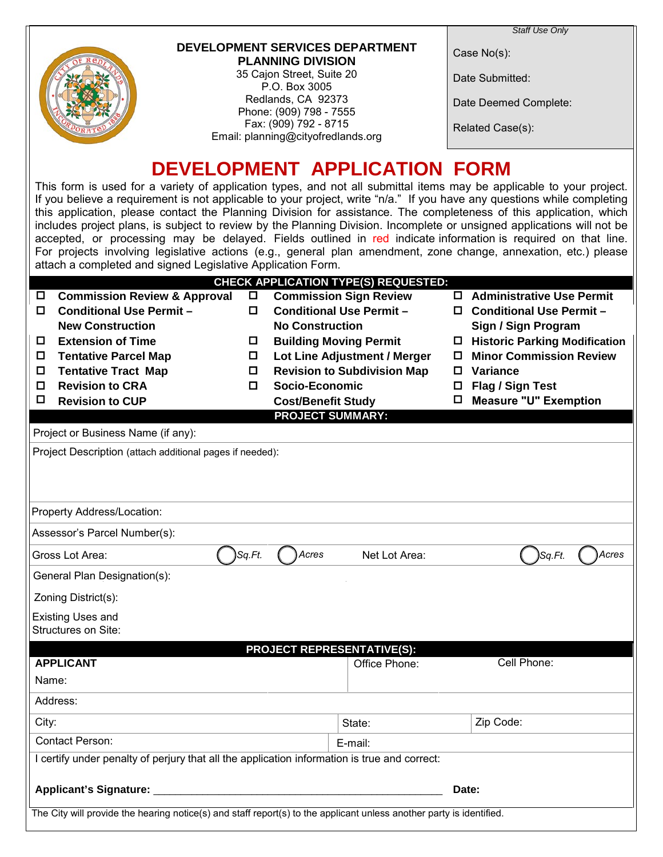

#### **DEVELOPMENT SERVICES DEPARTMENT PLANNING DIVISION**

35 Cajon Street, Suite 20 P.O. Box 3005 Redlands, CA 92373 Phone: (909) 798 - 7555 Fax: (909) 792 - 8715 Email: planning@cityofredlands.org Case No(s):

Date Submitted:

Date Deemed Complete:

Related Case(s):

# **DEVELOPMENT APPLICATION FORM**

This form is used for a variety of application types, and not all submittal items may be applicable to your project. If you believe a requirement is not applicable to your project, write "n/a." If you have any questions while completing this application, please contact the Planning Division for assistance. The completeness of this application, which includes project plans, is subject to review by the Planning Division. Incomplete or unsigned applications will not be accepted, or processing may be delayed. Fields outlined in red indicate information is required on that line. For projects involving legislative actions (e.g., general plan amendment, zone change, annexation, etc.) please attach a completed and signed Legislative Application Form.

|                                    |                                                                                                                      |             | <b>CHECK APPLICATION TYPE(S) REQUESTED:</b>                        |         |                                                                   |  |  |  |  |  |  |
|------------------------------------|----------------------------------------------------------------------------------------------------------------------|-------------|--------------------------------------------------------------------|---------|-------------------------------------------------------------------|--|--|--|--|--|--|
|                                    | <b>Commission Review &amp; Approval</b>                                                                              | $\Box$      | <b>Commission Sign Review</b>                                      |         | □ Administrative Use Permit                                       |  |  |  |  |  |  |
| 0.                                 | <b>Conditional Use Permit -</b>                                                                                      | 0           | <b>Conditional Use Permit -</b>                                    |         | <b>Conditional Use Permit -</b><br>0.                             |  |  |  |  |  |  |
|                                    | <b>New Construction</b>                                                                                              |             | <b>No Construction</b>                                             |         | Sign / Sign Program                                               |  |  |  |  |  |  |
| 0                                  | <b>Extension of Time</b>                                                                                             | 0           | <b>Building Moving Permit</b>                                      |         | □ Historic Parking Modification<br><b>Minor Commission Review</b> |  |  |  |  |  |  |
| 0<br>o                             | <b>Tentative Parcel Map</b><br><b>Tentative Tract Map</b>                                                            | 0<br>$\Box$ | Lot Line Adjustment / Merger<br><b>Revision to Subdivision Map</b> | О<br>0. | <b>Variance</b>                                                   |  |  |  |  |  |  |
| О                                  | <b>Revision to CRA</b>                                                                                               | 0           | Socio-Economic                                                     | □       | Flag / Sign Test                                                  |  |  |  |  |  |  |
| О                                  | <b>Revision to CUP</b>                                                                                               |             | <b>Cost/Benefit Study</b>                                          | □       | <b>Measure "U" Exemption</b>                                      |  |  |  |  |  |  |
|                                    |                                                                                                                      |             | <b>PROJECT SUMMARY:</b>                                            |         |                                                                   |  |  |  |  |  |  |
| Project or Business Name (if any): |                                                                                                                      |             |                                                                    |         |                                                                   |  |  |  |  |  |  |
|                                    | Project Description (attach additional pages if needed):                                                             |             |                                                                    |         |                                                                   |  |  |  |  |  |  |
|                                    |                                                                                                                      |             |                                                                    |         |                                                                   |  |  |  |  |  |  |
|                                    |                                                                                                                      |             |                                                                    |         |                                                                   |  |  |  |  |  |  |
| Property Address/Location:         |                                                                                                                      |             |                                                                    |         |                                                                   |  |  |  |  |  |  |
|                                    | Assessor's Parcel Number(s):                                                                                         |             |                                                                    |         |                                                                   |  |  |  |  |  |  |
|                                    | Gross Lot Area:                                                                                                      | Sq.Ft.      | Acres<br>Net Lot Area:                                             |         | Acres<br>Sq.Ft.                                                   |  |  |  |  |  |  |
|                                    | General Plan Designation(s):                                                                                         |             |                                                                    |         |                                                                   |  |  |  |  |  |  |
|                                    | Zoning District(s):                                                                                                  |             |                                                                    |         |                                                                   |  |  |  |  |  |  |
|                                    | <b>Existing Uses and</b>                                                                                             |             |                                                                    |         |                                                                   |  |  |  |  |  |  |
|                                    | Structures on Site:                                                                                                  |             |                                                                    |         |                                                                   |  |  |  |  |  |  |
|                                    |                                                                                                                      |             | <b>PROJECT REPRESENTATIVE(S):</b>                                  |         |                                                                   |  |  |  |  |  |  |
|                                    | <b>APPLICANT</b>                                                                                                     |             | Office Phone:                                                      |         | Cell Phone:                                                       |  |  |  |  |  |  |
| Name:                              |                                                                                                                      |             |                                                                    |         |                                                                   |  |  |  |  |  |  |
|                                    | Address:                                                                                                             |             |                                                                    |         |                                                                   |  |  |  |  |  |  |
| City:                              |                                                                                                                      |             | State:                                                             |         | Zip Code:                                                         |  |  |  |  |  |  |
|                                    | Contact Person:                                                                                                      |             | E-mail:                                                            |         |                                                                   |  |  |  |  |  |  |
|                                    | I certify under penalty of perjury that all the application information is true and correct:                         |             |                                                                    |         |                                                                   |  |  |  |  |  |  |
|                                    | <b>Applicant's Signature:</b>                                                                                        |             |                                                                    |         | Date:                                                             |  |  |  |  |  |  |
|                                    |                                                                                                                      |             |                                                                    |         |                                                                   |  |  |  |  |  |  |
|                                    | The City will provide the hearing notice(s) and staff report(s) to the applicant unless another party is identified. |             |                                                                    |         |                                                                   |  |  |  |  |  |  |
|                                    |                                                                                                                      |             |                                                                    |         |                                                                   |  |  |  |  |  |  |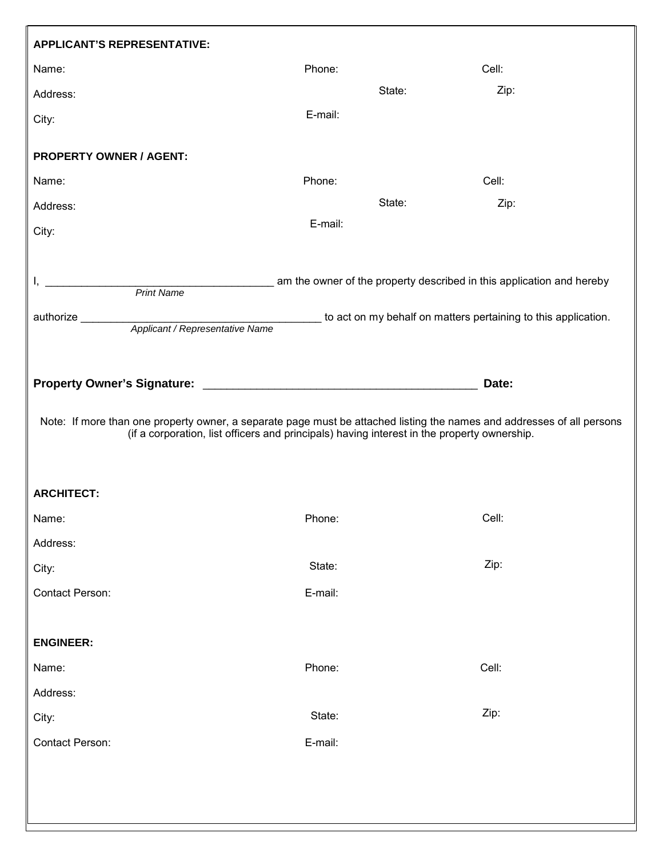| <b>APPLICANT'S REPRESENTATIVE:</b>                                                                                                                  |                                                                                             |       |
|-----------------------------------------------------------------------------------------------------------------------------------------------------|---------------------------------------------------------------------------------------------|-------|
| Name:                                                                                                                                               | Phone:                                                                                      | Cell: |
| Address:                                                                                                                                            | State:                                                                                      | Zip:  |
| City:                                                                                                                                               | E-mail:                                                                                     |       |
| <b>PROPERTY OWNER / AGENT:</b>                                                                                                                      |                                                                                             |       |
| Name:                                                                                                                                               | Phone:                                                                                      | Cell: |
| Address:                                                                                                                                            | State:                                                                                      | Zip:  |
| City:                                                                                                                                               | E-mail:                                                                                     |       |
| am the owner of the property described in this application and hereby<br><b>Print Name</b><br>authorize ________<br>Applicant / Representative Name | to act on my behalf on matters pertaining to this application.                              |       |
| Note: If more than one property owner, a separate page must be attached listing the names and addresses of all persons                              | (if a corporation, list officers and principals) having interest in the property ownership. | Date: |
| <b>ARCHITECT:</b>                                                                                                                                   |                                                                                             |       |
| Name:                                                                                                                                               | Phone:                                                                                      | Cell: |
| Address:                                                                                                                                            |                                                                                             |       |
| City:                                                                                                                                               | State:                                                                                      | Zip:  |
| Contact Person:                                                                                                                                     | E-mail:                                                                                     |       |
| <b>ENGINEER:</b>                                                                                                                                    |                                                                                             |       |
| Name:                                                                                                                                               | Phone:                                                                                      | Cell: |
| Address:                                                                                                                                            |                                                                                             |       |
| City:                                                                                                                                               | State:                                                                                      | Zip:  |
| Contact Person:                                                                                                                                     | E-mail:                                                                                     |       |
|                                                                                                                                                     |                                                                                             |       |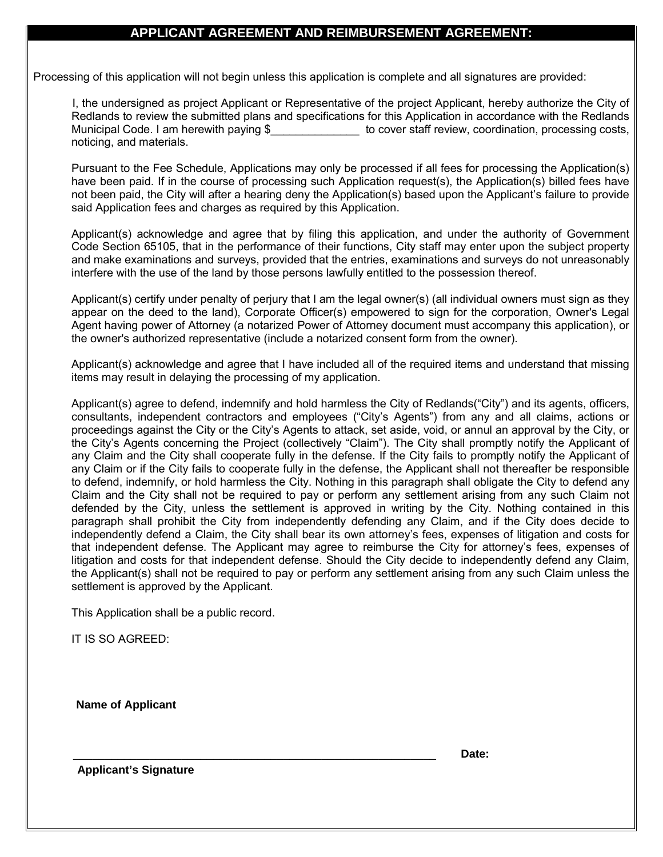#### **APPLICANT AGREEMENT AND REIMBURSEMENT AGREEMENT:**

Processing of this application will not begin unless this application is complete and all signatures are provided:

I, the undersigned as project Applicant or Representative of the project Applicant, hereby authorize the City of Redlands to review the submitted plans and specifications for this Application in accordance with the Redlands Municipal Code. I am herewith paying \$ The Society of cover staff review, coordination, processing costs, noticing, and materials.

Pursuant to the Fee Schedule, Applications may only be processed if all fees for processing the Application(s) have been paid. If in the course of processing such Application request(s), the Application(s) billed fees have not been paid, the City will after a hearing deny the Application(s) based upon the Applicant's failure to provide said Application fees and charges as required by this Application.

Applicant(s) acknowledge and agree that by filing this application, and under the authority of Government Code Section 65105, that in the performance of their functions, City staff may enter upon the subject property and make examinations and surveys, provided that the entries, examinations and surveys do not unreasonably interfere with the use of the land by those persons lawfully entitled to the possession thereof.

Applicant(s) certify under penalty of perjury that I am the legal owner(s) (all individual owners must sign as they appear on the deed to the land), Corporate Officer(s) empowered to sign for the corporation, Owner's Legal Agent having power of Attorney (a notarized Power of Attorney document must accompany this application), or the owner's authorized representative (include a notarized consent form from the owner).

Applicant(s) acknowledge and agree that I have included all of the required items and understand that missing items may result in delaying the processing of my application.

Applicant(s) agree to defend, indemnify and hold harmless the City of Redlands("City") and its agents, officers, consultants, independent contractors and employees ("City's Agents") from any and all claims, actions or proceedings against the City or the City's Agents to attack, set aside, void, or annul an approval by the City, or the City's Agents concerning the Project (collectively "Claim"). The City shall promptly notify the Applicant of any Claim and the City shall cooperate fully in the defense. If the City fails to promptly notify the Applicant of any Claim or if the City fails to cooperate fully in the defense, the Applicant shall not thereafter be responsible to defend, indemnify, or hold harmless the City. Nothing in this paragraph shall obligate the City to defend any Claim and the City shall not be required to pay or perform any settlement arising from any such Claim not defended by the City, unless the settlement is approved in writing by the City. Nothing contained in this paragraph shall prohibit the City from independently defending any Claim, and if the City does decide to independently defend a Claim, the City shall bear its own attorney's fees, expenses of litigation and costs for that independent defense. The Applicant may agree to reimburse the City for attorney's fees, expenses of litigation and costs for that independent defense. Should the City decide to independently defend any Claim, the Applicant(s) shall not be required to pay or perform any settlement arising from any such Claim unless the settlement is approved by the Applicant.

This Application shall be a public record.

\_\_\_\_\_\_\_\_\_\_\_\_\_\_\_\_\_\_\_\_\_\_\_\_\_\_\_\_\_\_\_\_\_\_\_\_\_\_\_\_\_\_\_\_\_\_\_\_\_\_\_\_\_\_\_\_\_

IT IS SO AGREED:

**Name of Applicant** 

**Date:**

**Applicant's Signature**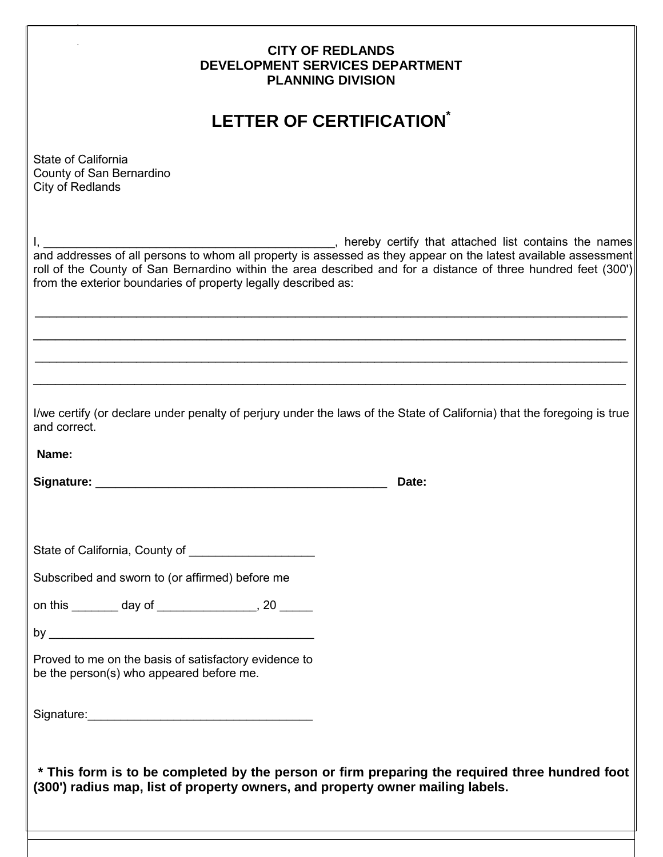| <b>CITY OF REDLANDS</b><br>DEVELOPMENT SERVICES DEPARTMENT<br><b>PLANNING DIVISION</b>                                                                                           |  |  |  |  |  |  |  |  |  |  |
|----------------------------------------------------------------------------------------------------------------------------------------------------------------------------------|--|--|--|--|--|--|--|--|--|--|
| <b>LETTER OF CERTIFICATION®</b>                                                                                                                                                  |  |  |  |  |  |  |  |  |  |  |
| State of California<br>County of San Bernardino<br>City of Redlands                                                                                                              |  |  |  |  |  |  |  |  |  |  |
| roll of the County of San Bernardino within the area described and for a distance of three hundred feet (300')<br>from the exterior boundaries of property legally described as: |  |  |  |  |  |  |  |  |  |  |
|                                                                                                                                                                                  |  |  |  |  |  |  |  |  |  |  |
|                                                                                                                                                                                  |  |  |  |  |  |  |  |  |  |  |
|                                                                                                                                                                                  |  |  |  |  |  |  |  |  |  |  |
| I/we certify (or declare under penalty of perjury under the laws of the State of California) that the foregoing is true<br>and correct.                                          |  |  |  |  |  |  |  |  |  |  |
| Name:                                                                                                                                                                            |  |  |  |  |  |  |  |  |  |  |
| Signature:<br>Date:                                                                                                                                                              |  |  |  |  |  |  |  |  |  |  |
|                                                                                                                                                                                  |  |  |  |  |  |  |  |  |  |  |
|                                                                                                                                                                                  |  |  |  |  |  |  |  |  |  |  |
| Subscribed and sworn to (or affirmed) before me                                                                                                                                  |  |  |  |  |  |  |  |  |  |  |
| on this _________ day of __________________, 20 ______                                                                                                                           |  |  |  |  |  |  |  |  |  |  |
|                                                                                                                                                                                  |  |  |  |  |  |  |  |  |  |  |
| Proved to me on the basis of satisfactory evidence to<br>be the person(s) who appeared before me.                                                                                |  |  |  |  |  |  |  |  |  |  |
|                                                                                                                                                                                  |  |  |  |  |  |  |  |  |  |  |
| * This form is to be completed by the person or firm preparing the required three hundred foot<br>(300') radius map, list of property owners, and property owner mailing labels. |  |  |  |  |  |  |  |  |  |  |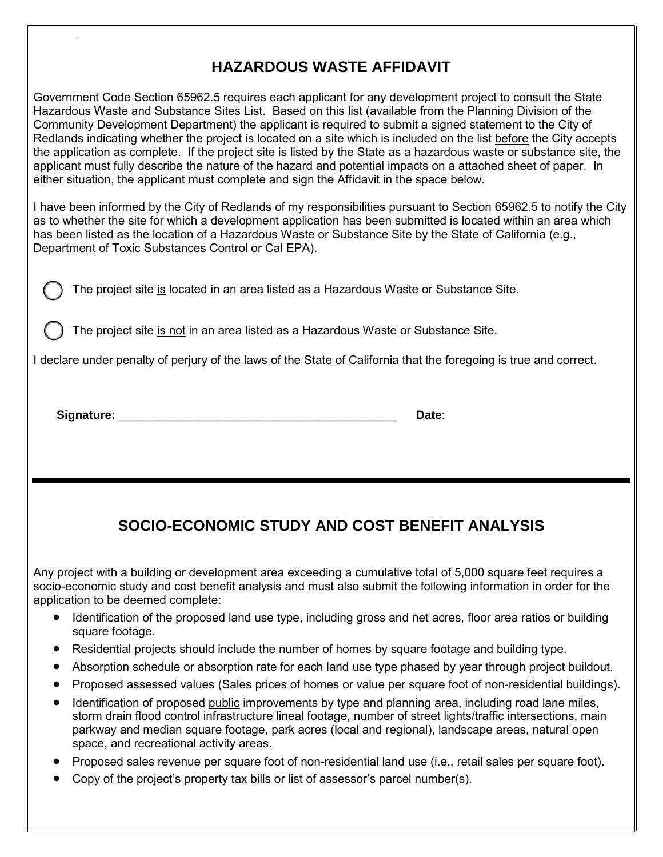## **HAZARDOUS WASTE AFFIDAVIT**

Government Code Section 65962.5 requires each applicant for any development project to consult the State Hazardous Waste and Substance Sites List. Based on this list (available from the Planning Division of the Community Development Department) the applicant is required to submit a signed statement to the City of Redlands indicating whether the project is located on a site which is included on the list before the City accepts the application as complete. If the project site is listed by the State as a hazardous waste or substance site, the applicant must fully describe the nature of the hazard and potential impacts on a attached sheet of paper. In either situation, the applicant must complete and sign the Affidavit in the space below.

I have been informed by the City of Redlands of my responsibilities pursuant to Section 65962.5 to notify the City as to whether the site for which a development application has been submitted is located within an area which has been listed as the location of a Hazardous Waste or Substance Site by the State of California (e.g., Department of Toxic Substances Control or Cal EPA).

The project site is located in an area listed as a Hazardous Waste or Substance Site.

The project site is not in an area listed as a Hazardous Waste or Substance Site.

I declare under penalty of perjury of the laws of the State of California that the foregoing is true and correct.

**Signature:** \_\_\_\_\_\_\_\_\_\_\_\_\_\_\_\_\_\_\_\_\_\_\_\_\_\_\_\_\_\_\_\_\_\_\_\_\_\_\_\_\_\_ **Date**:

## **SOCIO-ECONOMIC STUDY AND COST BENEFIT ANALYSIS**

Any project with a building or development area exceeding a cumulative total of 5,000 square feet requires a socio-economic study and cost benefit analysis and must also submit the following information in order for the application to be deemed complete:

- Identification of the proposed land use type, including gross and net acres, floor area ratios or building square footage.
- Residential projects should include the number of homes by square footage and building type.
- Absorption schedule or absorption rate for each land use type phased by year through project buildout.
- Proposed assessed values (Sales prices of homes or value per square foot of non-residential buildings).
- Identification of proposed public improvements by type and planning area, including road lane miles, storm drain flood control infrastructure lineal footage, number of street lights/traffic intersections, main parkway and median square footage, park acres (local and regional), landscape areas, natural open space, and recreational activity areas.
- Proposed sales revenue per square foot of non-residential land use (i.e., retail sales per square foot).
- Copy of the project's property tax bills or list of assessor's parcel number(s).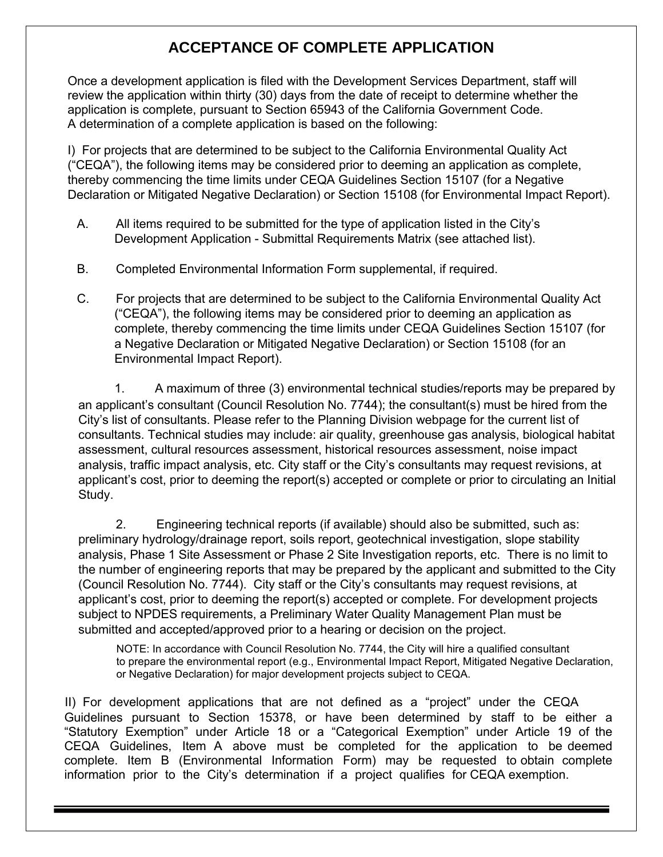## **ACCEPTANCE OF COMPLETE APPLICATION**

Once a development application is filed with the Development Services Department, staff will review the application within thirty (30) days from the date of receipt to determine whether the application is complete, pursuant to Section 65943 of the California Government Code. A determination of a complete application is based on the following:

I) For projects that are determined to be subject to the California Environmental Quality Act ("CEQA"), the following items may be considered prior to deeming an application as complete, thereby commencing the time limits under CEQA Guidelines Section 15107 (for a Negative Declaration or Mitigated Negative Declaration) or Section 15108 (for Environmental Impact Report).

- A. All items required to be submitted for the type of application listed in the City's Development Application - Submittal Requirements Matrix (see attached list).
- B. Completed Environmental Information Form supplemental, if required.
- C. For projects that are determined to be subject to the California Environmental Quality Act ("CEQA"), the following items may be considered prior to deeming an application as complete, thereby commencing the time limits under CEQA Guidelines Section 15107 (for a Negative Declaration or Mitigated Negative Declaration) or Section 15108 (for an Environmental Impact Report).

1. A maximum of three (3) environmental technical studies/reports may be prepared by an applicant's consultant (Council Resolution No. 7744); the consultant(s) must be hired from the City's list of consultants. Please refer to the Planning Division webpage for the current list of consultants. Technical studies may include: air quality, greenhouse gas analysis, biological habitat assessment, cultural resources assessment, historical resources assessment, noise impact analysis, traffic impact analysis, etc. City staff or the City's consultants may request revisions, at applicant's cost, prior to deeming the report(s) accepted or complete or prior to circulating an Initial Study.

2. Engineering technical reports (if available) should also be submitted, such as: preliminary hydrology/drainage report, soils report, geotechnical investigation, slope stability analysis, Phase 1 Site Assessment or Phase 2 Site Investigation reports, etc. There is no limit to the number of engineering reports that may be prepared by the applicant and submitted to the City (Council Resolution No. 7744). City staff or the City's consultants may request revisions, at applicant's cost, prior to deeming the report(s) accepted or complete. For development projects subject to NPDES requirements, a Preliminary Water Quality Management Plan must be submitted and accepted/approved prior to a hearing or decision on the project.

NOTE: In accordance with Council Resolution No. 7744, the City will hire a qualified consultant to prepare the environmental report (e.g., Environmental Impact Report, Mitigated Negative Declaration, or Negative Declaration) for major development projects subject to CEQA.

II) For development applications that are not defined as a "project" under the CEQA Guidelines pursuant to Section 15378, or have been determined by staff to be either a "Statutory Exemption" under Article 18 or a "Categorical Exemption" under Article 19 of the CEQA Guidelines, Item A above must be completed for the application to be deemed complete. Item B (Environmental Information Form) may be requested to obtain complete information prior to the City's determination if a project qualifies for CEQA exemption.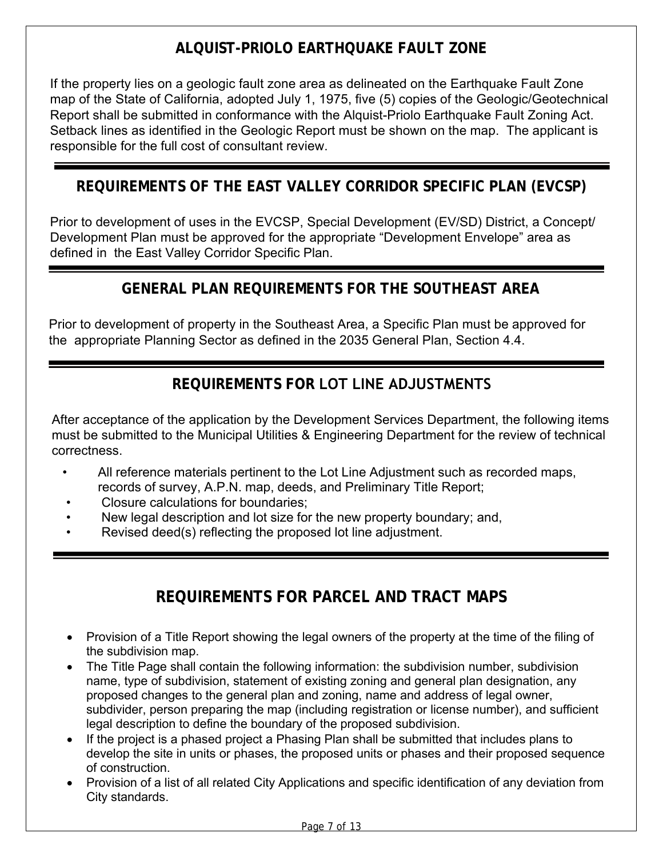## **ALQUIST-PRIOLO EARTHQUAKE FAULT ZONE**

If the property lies on a geologic fault zone area as delineated on the Earthquake Fault Zone map of the State of California, adopted July 1, 1975, five (5) copies of the Geologic/Geotechnical Report shall be submitted in conformance with the Alquist-Priolo Earthquake Fault Zoning Act. Setback lines as identified in the Geologic Report must be shown on the map. The applicant is responsible for the full cost of consultant review.

## **REQUIREMENTS OF THE EAST VALLEY CORRIDOR SPECIFIC PLAN (EVCSP)**

Prior to development of uses in the EVCSP, Special Development (EV/SD) District, a Concept/ Development Plan must be approved for the appropriate "Development Envelope" area as defined in the East Valley Corridor Specific Plan.

## **GENERAL PLAN REQUIREMENTS FOR THE SOUTHEAST AREA**

Prior to development of property in the Southeast Area, a Specific Plan must be approved for the appropriate Planning Sector as defined in the 2035 General Plan, Section 4.4.

## **REQUIREMENTS FOR LOT LINE ADJUSTMENTS**

After acceptance of the application by the Development Services Department, the following items must be submitted to the Municipal Utilities & Engineering Department for the review of technical correctness.

- All reference materials pertinent to the Lot Line Adjustment such as recorded maps, records of survey, A.P.N. map, deeds, and Preliminary Title Report;
- Closure calculations for boundaries;
- New legal description and lot size for the new property boundary; and,
- Revised deed(s) reflecting the proposed lot line adjustment.

## **REQUIREMENTS FOR PARCEL AND TRACT MAPS**

- Provision of a Title Report showing the legal owners of the property at the time of the filing of the subdivision map.
- The Title Page shall contain the following information: the subdivision number, subdivision name, type of subdivision, statement of existing zoning and general plan designation, any proposed changes to the general plan and zoning, name and address of legal owner, subdivider, person preparing the map (including registration or license number), and sufficient legal description to define the boundary of the proposed subdivision.
- If the project is a phased project a Phasing Plan shall be submitted that includes plans to develop the site in units or phases, the proposed units or phases and their proposed sequence of construction.
- Provision of a list of all related City Applications and specific identification of any deviation from City standards.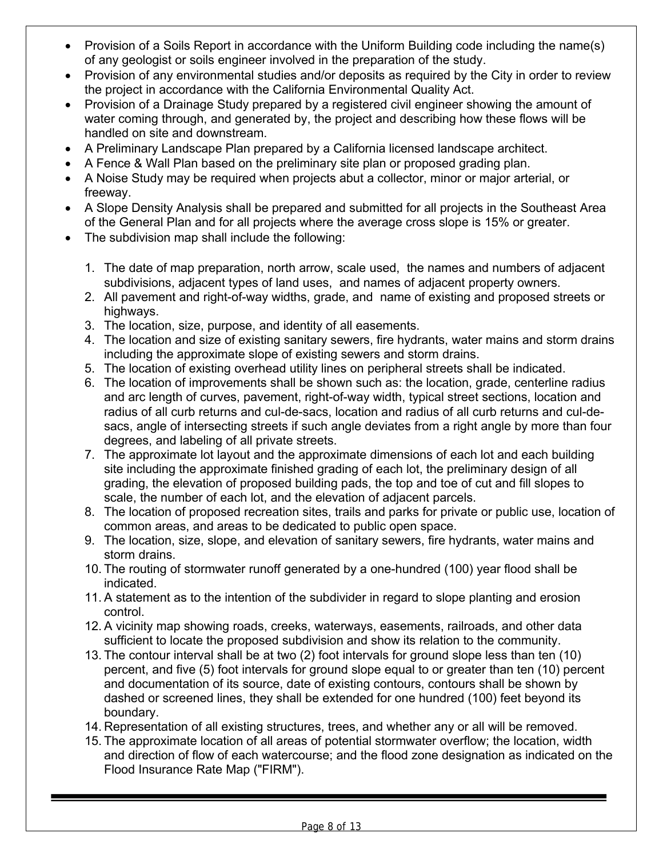- Provision of a Soils Report in accordance with the Uniform Building code including the name(s) of any geologist or soils engineer involved in the preparation of the study.
- Provision of any environmental studies and/or deposits as required by the City in order to review the project in accordance with the California Environmental Quality Act.
- Provision of a Drainage Study prepared by a registered civil engineer showing the amount of water coming through, and generated by, the project and describing how these flows will be handled on site and downstream.
- A Preliminary Landscape Plan prepared by a California licensed landscape architect.
- A Fence & Wall Plan based on the preliminary site plan or proposed grading plan.
- A Noise Study may be required when projects abut a collector, minor or major arterial, or freeway.
- A Slope Density Analysis shall be prepared and submitted for all projects in the Southeast Area of the General Plan and for all projects where the average cross slope is 15% or greater.
- The subdivision map shall include the following:
	- 1. The date of map preparation, north arrow, scale used, the names and numbers of adjacent subdivisions, adjacent types of land uses, and names of adjacent property owners.
	- 2. All pavement and right-of-way widths, grade, and name of existing and proposed streets or highways.
	- 3. The location, size, purpose, and identity of all easements.
	- 4. The location and size of existing sanitary sewers, fire hydrants, water mains and storm drains including the approximate slope of existing sewers and storm drains.
	- 5. The location of existing overhead utility lines on peripheral streets shall be indicated.
	- 6. The location of improvements shall be shown such as: the location, grade, centerline radius and arc length of curves, pavement, right-of-way width, typical street sections, location and radius of all curb returns and cul-de-sacs, location and radius of all curb returns and cul-desacs, angle of intersecting streets if such angle deviates from a right angle by more than four degrees, and labeling of all private streets.
	- 7. The approximate lot layout and the approximate dimensions of each lot and each building site including the approximate finished grading of each lot, the preliminary design of all grading, the elevation of proposed building pads, the top and toe of cut and fill slopes to scale, the number of each lot, and the elevation of adjacent parcels.
	- 8. The location of proposed recreation sites, trails and parks for private or public use, location of common areas, and areas to be dedicated to public open space.
	- 9. The location, size, slope, and elevation of sanitary sewers, fire hydrants, water mains and storm drains.
	- 10. The routing of stormwater runoff generated by a one-hundred (100) year flood shall be indicated.
	- 11. A statement as to the intention of the subdivider in regard to slope planting and erosion control.
	- 12. A vicinity map showing roads, creeks, waterways, easements, railroads, and other data sufficient to locate the proposed subdivision and show its relation to the community.
	- 13. The contour interval shall be at two (2) foot intervals for ground slope less than ten (10) percent, and five (5) foot intervals for ground slope equal to or greater than ten (10) percent and documentation of its source, date of existing contours, contours shall be shown by dashed or screened lines, they shall be extended for one hundred (100) feet beyond its boundary.
	- 14. Representation of all existing structures, trees, and whether any or all will be removed.
	- 15. The approximate location of all areas of potential stormwater overflow; the location, width and direction of flow of each watercourse; and the flood zone designation as indicated on the Flood Insurance Rate Map ("FIRM").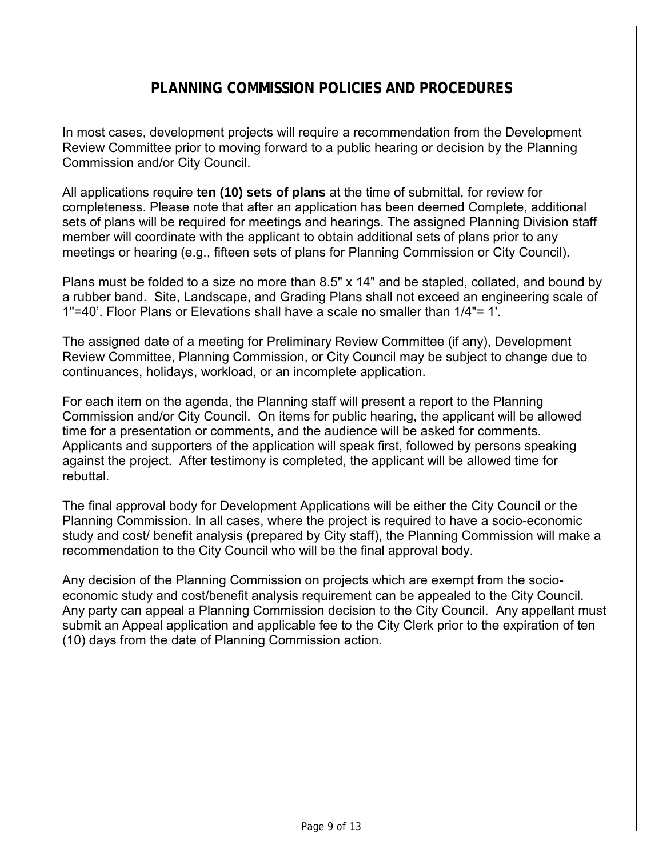### **PLANNING COMMISSION POLICIES AND PROCEDURES**

In most cases, development projects will require a recommendation from the Development Review Committee prior to moving forward to a public hearing or decision by the Planning Commission and/or City Council.

All applications require **ten (10) sets of plans** at the time of submittal, for review for completeness. Please note that after an application has been deemed Complete, additional sets of plans will be required for meetings and hearings. The assigned Planning Division staff member will coordinate with the applicant to obtain additional sets of plans prior to any meetings or hearing (e.g., fifteen sets of plans for Planning Commission or City Council).

Plans must be folded to a size no more than 8.5" x 14" and be stapled, collated, and bound by a rubber band. Site, Landscape, and Grading Plans shall not exceed an engineering scale of 1"=40'. Floor Plans or Elevations shall have a scale no smaller than 1/4"= 1'.

The assigned date of a meeting for Preliminary Review Committee (if any), Development Review Committee, Planning Commission, or City Council may be subject to change due to continuances, holidays, workload, or an incomplete application.

For each item on the agenda, the Planning staff will present a report to the Planning Commission and/or City Council. On items for public hearing, the applicant will be allowed time for a presentation or comments, and the audience will be asked for comments. Applicants and supporters of the application will speak first, followed by persons speaking against the project. After testimony is completed, the applicant will be allowed time for rebuttal.

The final approval body for Development Applications will be either the City Council or the Planning Commission. In all cases, where the project is required to have a socio-economic study and cost/ benefit analysis (prepared by City staff), the Planning Commission will make a recommendation to the City Council who will be the final approval body.

Any decision of the Planning Commission on projects which are exempt from the socioeconomic study and cost/benefit analysis requirement can be appealed to the City Council. Any party can appeal a Planning Commission decision to the City Council. Any appellant must submit an Appeal application and applicable fee to the City Clerk prior to the expiration of ten (10) days from the date of Planning Commission action.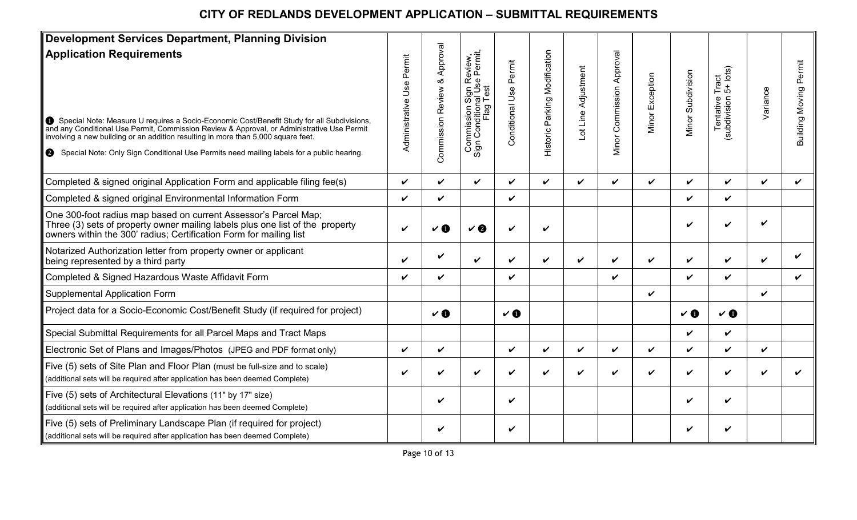## **CITY OF REDLANDS DEVELOPMENT APPLICATION – SUBMITTAL REQUIREMENTS**

| <b>Development Services Department, Planning Division</b>                                                                                                                                                                                                                                                                                                                                                  |                                 |                                 |                                                                                  |                              |                               |                     |                              |                    |                    |                                                        |                    |                        |
|------------------------------------------------------------------------------------------------------------------------------------------------------------------------------------------------------------------------------------------------------------------------------------------------------------------------------------------------------------------------------------------------------------|---------------------------------|---------------------------------|----------------------------------------------------------------------------------|------------------------------|-------------------------------|---------------------|------------------------------|--------------------|--------------------|--------------------------------------------------------|--------------------|------------------------|
| <b>Application Requirements</b><br>Special Note: Measure U requires a Socio-Economic Cost/Benefit Study for all Subdivisions, and any Conditional Use Permit, Commission Review & Approval, or Administrative Use Permit<br>involving a new building or an addition resulting in more than 5,000 square feet.<br>Special Note: Only Sign Conditional Use Permits need mailing labels for a public hearing. | Permit<br>Use<br>Administrative | Approval<br>Commission Review & | Commission Sign Review,<br>Sign Condition <u>a</u> l Use Permit,<br>Test<br>Flag | Permit<br>Jse<br>Conditional | Historic Parking Modification | Lot Line Adjustment | Commission Approval<br>Minor | Exception<br>Minor | Minor Subdivision  | Tentative Tract<br>ubdivision 5+ lots)<br>(subdivision | Variance           | Building Moving Permit |
| Completed & signed original Application Form and applicable filing fee(s)                                                                                                                                                                                                                                                                                                                                  | ✓                               | V                               | $\checkmark$                                                                     | ✓                            | $\boldsymbol{\nu}$            | $\checkmark$        | ✓                            | ✓                  | $\checkmark$       | $\checkmark$                                           | $\checkmark$       | ✓                      |
| Completed & signed original Environmental Information Form                                                                                                                                                                                                                                                                                                                                                 | V                               | V                               |                                                                                  | ✓                            |                               |                     |                              |                    | $\checkmark$       | $\checkmark$                                           |                    |                        |
| One 300-foot radius map based on current Assessor's Parcel Map;<br>Three (3) sets of property owner mailing labels plus one list of the property<br>owners within the 300' radius; Certification Form for mailing list                                                                                                                                                                                     | V                               | $\mathbf v$ o                   | V                                                                                | V                            | V                             |                     |                              |                    | V                  | ✓                                                      | V                  |                        |
| Notarized Authorization letter from property owner or applicant<br>being represented by a third party                                                                                                                                                                                                                                                                                                      | ✓                               | V                               | V                                                                                | ✓                            | ✓                             | ✓                   | V                            | ✓                  | V                  | $\checkmark$                                           | ✓                  |                        |
| Completed & Signed Hazardous Waste Affidavit Form                                                                                                                                                                                                                                                                                                                                                          | V                               | V                               |                                                                                  | ✓                            |                               |                     | ✓                            |                    | $\checkmark$       | $\checkmark$                                           |                    | ✓                      |
| <b>Supplemental Application Form</b>                                                                                                                                                                                                                                                                                                                                                                       |                                 |                                 |                                                                                  |                              |                               |                     |                              | V                  |                    |                                                        | $\boldsymbol{\nu}$ |                        |
| Project data for a Socio-Economic Cost/Benefit Study (if required for project)                                                                                                                                                                                                                                                                                                                             |                                 | $V$ 0                           |                                                                                  | $V$ 0                        |                               |                     |                              |                    | $V$ 0              | $V$ 0                                                  |                    |                        |
| Special Submittal Requirements for all Parcel Maps and Tract Maps                                                                                                                                                                                                                                                                                                                                          |                                 |                                 |                                                                                  |                              |                               |                     |                              |                    | $\checkmark$       | $\checkmark$                                           |                    |                        |
| Electronic Set of Plans and Images/Photos (JPEG and PDF format only)                                                                                                                                                                                                                                                                                                                                       | V                               | V                               |                                                                                  | ✓                            | ✓                             | V                   | V                            | ✓                  | $\checkmark$       | $\boldsymbol{\nu}$                                     | ✓                  |                        |
| Five (5) sets of Site Plan and Floor Plan (must be full-size and to scale)<br>(additional sets will be required after application has been deemed Complete)                                                                                                                                                                                                                                                | V                               | V                               | V                                                                                | V                            | V                             | V                   | V                            | ✓                  | $\boldsymbol{\nu}$ | $\checkmark$                                           | ✓                  |                        |
| Five (5) sets of Architectural Elevations (11" by 17" size)<br>(additional sets will be required after application has been deemed Complete)                                                                                                                                                                                                                                                               |                                 | V                               |                                                                                  | ✓                            |                               |                     |                              |                    | $\checkmark$       | $\checkmark$                                           |                    |                        |
| Five (5) sets of Preliminary Landscape Plan (if required for project)<br>(additional sets will be required after application has been deemed Complete)                                                                                                                                                                                                                                                     |                                 | V                               |                                                                                  | V                            |                               |                     |                              |                    | V                  | $\checkmark$                                           |                    |                        |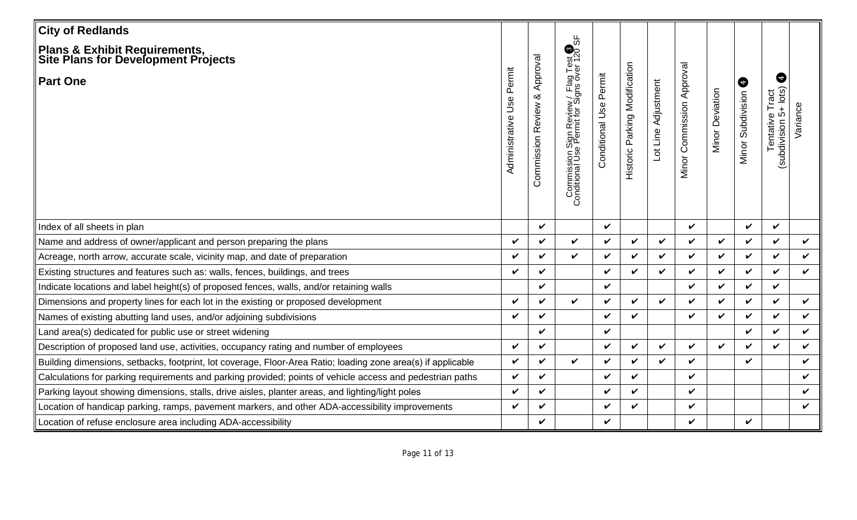| <b>City of Redlands</b>                                                                                      |                                 |                                       |                                                                                                 |                            |                               |                    |                           |                    |                        |                                                                       |              |
|--------------------------------------------------------------------------------------------------------------|---------------------------------|---------------------------------------|-------------------------------------------------------------------------------------------------|----------------------------|-------------------------------|--------------------|---------------------------|--------------------|------------------------|-----------------------------------------------------------------------|--------------|
| ∥Plans & Exhibit Requirements,<br>∥Site Plans for Development Projects                                       |                                 |                                       |                                                                                                 |                            |                               |                    |                           |                    |                        |                                                                       |              |
| <b>Part One</b>                                                                                              | Permit<br>Use<br>Administrative | Approval<br>ళ<br>Review<br>Commission | Commission Sign Review / Flag Test <sup>6</sup><br>Conditional Use Permit for Signs over 120 SF | Permit<br>Conditional Use  | Historic Parking Modification | ot Line Adjustment | Minor Commission Approval | Deviation<br>Minor | ❺<br>Minor Subdivision | ❺<br>$5+$ $\vert$ ots $\rangle$<br>Tract<br>Tentative<br>(subdivision | Variance     |
| Index of all sheets in plan                                                                                  |                                 | $\checkmark$                          |                                                                                                 | $\boldsymbol{\nu}$         |                               |                    | $\checkmark$              |                    | $\checkmark$           | $\checkmark$                                                          |              |
| Name and address of owner/applicant and person preparing the plans                                           | ✓                               | $\checkmark$                          | V                                                                                               | $\checkmark$               | V                             | V                  | $\checkmark$              | $\checkmark$       | $\checkmark$           | $\checkmark$                                                          | $\checkmark$ |
| Acreage, north arrow, accurate scale, vicinity map, and date of preparation                                  | ✓                               | $\checkmark$                          | $\checkmark$                                                                                    | $\checkmark$               | $\checkmark$                  | ✓                  | $\checkmark$              | $\boldsymbol{\nu}$ | ✓                      | $\checkmark$                                                          | $\checkmark$ |
| Existing structures and features such as: walls, fences, buildings, and trees                                | ✓                               | $\checkmark$                          |                                                                                                 | V                          | $\checkmark$                  | ✓                  | $\checkmark$              | ✓                  | ✓                      | $\checkmark$                                                          | $\checkmark$ |
| Indicate locations and label height(s) of proposed fences, walls, and/or retaining walls                     |                                 | V                                     |                                                                                                 | $\boldsymbol{\nu}$         |                               |                    | $\checkmark$              | $\checkmark$       | $\checkmark$           | $\checkmark$                                                          |              |
| Dimensions and property lines for each lot in the existing or proposed development                           | ✓                               | $\checkmark$                          | $\checkmark$                                                                                    | $\boldsymbol{\nu}$         | $\checkmark$                  | ✓                  | $\checkmark$              | $\checkmark$       | ✓                      | $\checkmark$                                                          | $\checkmark$ |
| Names of existing abutting land uses, and/or adjoining subdivisions                                          | ✓                               | $\checkmark$                          |                                                                                                 | $\boldsymbol{\nu}$         | $\checkmark$                  |                    | $\checkmark$              | $\checkmark$       | ✓                      | $\boldsymbol{\nu}$                                                    | $\checkmark$ |
| Land area(s) dedicated for public use or street widening                                                     |                                 | $\checkmark$                          |                                                                                                 | $\checkmark$               |                               |                    |                           |                    | ✓                      | $\checkmark$                                                          | V            |
| Description of proposed land use, activities, occupancy rating and number of employees                       | V                               | $\checkmark$                          |                                                                                                 | $\checkmark$               | $\checkmark$                  | ✓                  | $\checkmark$              | $\boldsymbol{\nu}$ | ✓                      | $\boldsymbol{\nu}$                                                    | V            |
| Building dimensions, setbacks, footprint, lot coverage, Floor-Area Ratio; loading zone area(s) if applicable | ✓                               | $\checkmark$                          | $\checkmark$                                                                                    | $\checkmark$               | $\checkmark$                  | $\boldsymbol{\nu}$ | $\checkmark$              |                    | ✓                      |                                                                       | V            |
| Calculations for parking requirements and parking provided; points of vehicle access and pedestrian paths    | ✓                               | $\checkmark$                          |                                                                                                 | $\boldsymbol{\nu}$         | $\checkmark$                  |                    | $\checkmark$              |                    |                        |                                                                       | ✓            |
| Parking layout showing dimensions, stalls, drive aisles, planter areas, and lighting/light poles             | ✓                               | $\checkmark$                          |                                                                                                 | $\checkmark$               | $\checkmark$                  |                    | $\checkmark$              |                    |                        |                                                                       | V            |
| Location of handicap parking, ramps, pavement markers, and other ADA-accessibility improvements              | ✓                               | $\checkmark$                          |                                                                                                 | $\boldsymbol{\mathcal{U}}$ | $\checkmark$                  |                    | $\checkmark$              |                    |                        |                                                                       | V            |
| Location of refuse enclosure area including ADA-accessibility                                                |                                 | $\checkmark$                          |                                                                                                 | $\checkmark$               |                               |                    | $\checkmark$              |                    | $\checkmark$           |                                                                       |              |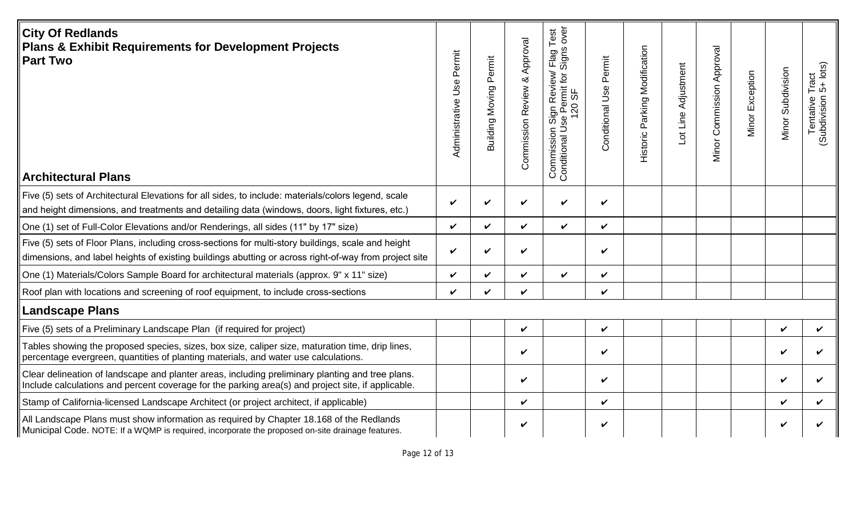| <b>City Of Redlands</b><br>Plans & Exhibit Requirements for Development Projects<br>∥Part Two<br>∥Architectural Plans                                                                                       | Permit<br>Administrative Use | Permit<br>Moving<br>Building | Approval<br>$\infty$<br><b>Commission Review</b> | over<br>Test<br>rlag 1<br>Signs<br>Review/<br>ermit for<br>0 SF<br>Sign F<br>se Pel<br>120<br>$\frac{6}{5}$<br>コ<br>Commission<br>Conditional Us | Conditional Use Permit | Parking Modification<br>Historic | Lot Line Adjustment | Minor Commission Approval | Minor Exception | Minor Subdivision | Tract<br>5+ lots)<br>Tentative 1<br>(Subdivision 5) |
|-------------------------------------------------------------------------------------------------------------------------------------------------------------------------------------------------------------|------------------------------|------------------------------|--------------------------------------------------|--------------------------------------------------------------------------------------------------------------------------------------------------|------------------------|----------------------------------|---------------------|---------------------------|-----------------|-------------------|-----------------------------------------------------|
| Five (5) sets of Architectural Elevations for all sides, to include: materials/colors legend, scale<br>and height dimensions, and treatments and detailing data (windows, doors, light fixtures, etc.)      | V                            | ✓                            | $\boldsymbol{\nu}$                               | V                                                                                                                                                | $\checkmark$           |                                  |                     |                           |                 |                   |                                                     |
| One (1) set of Full-Color Elevations and/or Renderings, all sides (11" by 17" size)                                                                                                                         | ✓                            | ✓                            | $\checkmark$                                     | $\checkmark$                                                                                                                                     | $\checkmark$           |                                  |                     |                           |                 |                   |                                                     |
| Five (5) sets of Floor Plans, including cross-sections for multi-story buildings, scale and height<br>dimensions, and label heights of existing buildings abutting or across right-of-way from project site | V                            | ✓                            | $\checkmark$                                     |                                                                                                                                                  | $\checkmark$           |                                  |                     |                           |                 |                   |                                                     |
| One (1) Materials/Colors Sample Board for architectural materials (approx. 9" x 11" size)                                                                                                                   | ✓                            | ✓                            | $\boldsymbol{\nu}$                               | $\checkmark$                                                                                                                                     | $\checkmark$           |                                  |                     |                           |                 |                   |                                                     |
| Roof plan with locations and screening of roof equipment, to include cross-sections                                                                                                                         | ✓                            | ✓                            | $\checkmark$                                     |                                                                                                                                                  | V                      |                                  |                     |                           |                 |                   |                                                     |
| Landscape Plans                                                                                                                                                                                             |                              |                              |                                                  |                                                                                                                                                  |                        |                                  |                     |                           |                 |                   |                                                     |
| Five (5) sets of a Preliminary Landscape Plan (if required for project)                                                                                                                                     |                              |                              | $\checkmark$                                     |                                                                                                                                                  | $\checkmark$           |                                  |                     |                           |                 | ✓                 | V                                                   |
| Tables showing the proposed species, sizes, box size, caliper size, maturation time, drip lines,<br>percentage evergreen, quantities of planting materials, and water use calculations.                     |                              |                              | $\checkmark$                                     |                                                                                                                                                  | V                      |                                  |                     |                           |                 | V                 | V                                                   |
| Clear delineation of landscape and planter areas, including preliminary planting and tree plans.<br>Include calculations and percent coverage for the parking area(s) and project site, if applicable.      |                              |                              | $\checkmark$                                     |                                                                                                                                                  | V                      |                                  |                     |                           |                 | V                 | ✓                                                   |
| Stamp of California-licensed Landscape Architect (or project architect, if applicable)                                                                                                                      |                              |                              | V                                                |                                                                                                                                                  | V                      |                                  |                     |                           |                 | ✓                 | V                                                   |
| All Landscape Plans must show information as required by Chapter 18.168 of the Redlands<br>Municipal Code. NOTE: If a WQMP is required, incorporate the proposed on-site drainage features.                 |                              |                              | V                                                |                                                                                                                                                  | V                      |                                  |                     |                           |                 | V                 |                                                     |